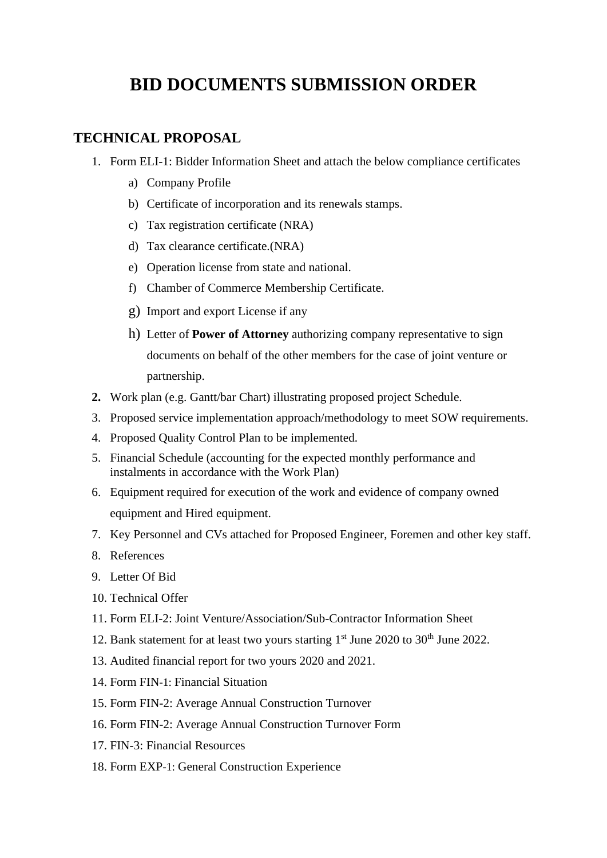## **BID DOCUMENTS SUBMISSION ORDER**

## **TECHNICAL PROPOSAL**

- 1. Form ELI-1: Bidder Information Sheet and attach the below compliance certificates
	- a) Company Profile
	- b) Certificate of incorporation and its renewals stamps.
	- c) Tax registration certificate (NRA)
	- d) Tax clearance certificate.(NRA)
	- e) Operation license from state and national.
	- f) Chamber of Commerce Membership Certificate.
	- g) Import and export License if any
	- h) Letter of **Power of Attorney** authorizing company representative to sign documents on behalf of the other members for the case of joint venture or partnership.
- **2.** Work plan (e.g. Gantt/bar Chart) illustrating proposed project Schedule.
- 3. Proposed service implementation approach/methodology to meet SOW requirements.
- 4. Proposed Quality Control Plan to be implemented.
- 5. Financial Schedule (accounting for the expected monthly performance and instalments in accordance with the Work Plan)
- 6. Equipment required for execution of the work and evidence of company owned equipment and Hired equipment.
- 7. Key Personnel and CVs attached for Proposed Engineer, Foremen and other key staff.
- 8. References
- 9. Letter Of Bid
- 10. Technical Offer
- 11. Form ELI-2: Joint Venture/Association/Sub-Contractor Information Sheet
- 12. Bank statement for at least two yours starting  $1<sup>st</sup>$  June 2020 to 30<sup>th</sup> June 2022.
- 13. Audited financial report for two yours 2020 and 2021.
- 14. Form FIN-1: Financial Situation
- 15. Form FIN-2: Average Annual Construction Turnover
- 16. Form FIN-2: Average Annual Construction Turnover Form
- 17. FIN-3: Financial Resources
- 18. Form EXP-1: General Construction Experience